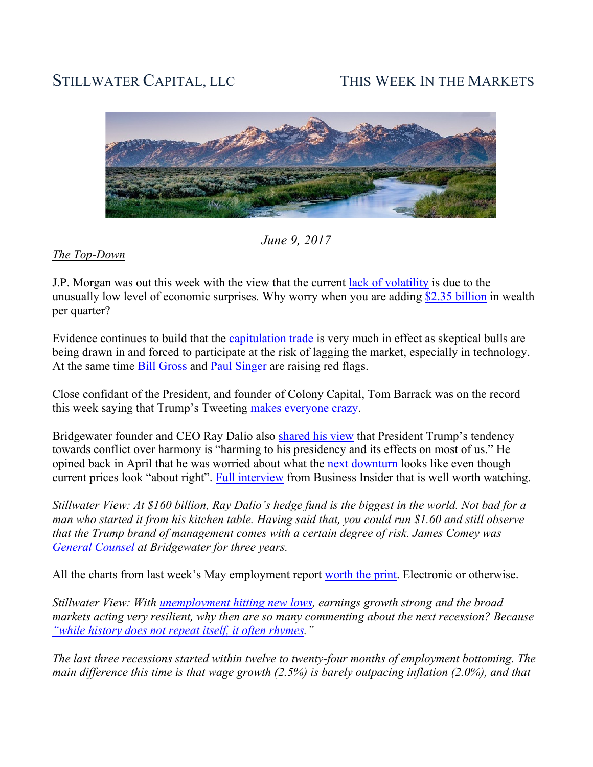# STILLWATER CAPITAL, LLC THIS WEEK IN THE MARKETS



*June 9, 2017*

#### *The Top-Down*

J.P. Morgan was out this week with the view that the current lack of volatility is due to the unusually low level of economic surprises*.* Why worry when you are adding \$2.35 billion in wealth per quarter?

Evidence continues to build that the capitulation trade is very much in effect as skeptical bulls are being drawn in and forced to participate at the risk of lagging the market, especially in technology. At the same time Bill Gross and Paul Singer are raising red flags.

Close confidant of the President, and founder of Colony Capital, Tom Barrack was on the record this week saying that Trump's Tweeting makes everyone crazy.

Bridgewater founder and CEO Ray Dalio also shared his view that President Trump's tendency towards conflict over harmony is "harming to his presidency and its effects on most of us." He opined back in April that he was worried about what the next downturn looks like even though current prices look "about right". Full interview from Business Insider that is well worth watching.

*Stillwater View: At \$160 billion, Ray Dalio's hedge fund is the biggest in the world. Not bad for a man who started it from his kitchen table. Having said that, you could run \$1.60 and still observe that the Trump brand of management comes with a certain degree of risk. James Comey was General Counsel at Bridgewater for three years.* 

All the charts from last week's May employment report worth the print. Electronic or otherwise.

*Stillwater View: With unemployment hitting new lows, earnings growth strong and the broad markets acting very resilient, why then are so many commenting about the next recession? Because "while history does not repeat itself, it often rhymes."* 

*The last three recessions started within twelve to twenty-four months of employment bottoming. The main difference this time is that wage growth (2.5%) is barely outpacing inflation (2.0%), and that*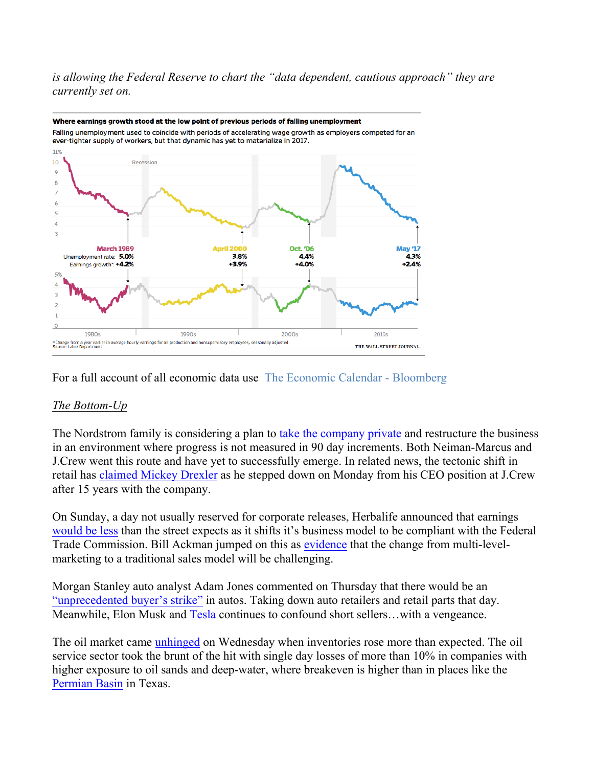*is allowing the Federal Reserve to chart the "data dependent, cautious approach" they are currently set on.* 



Where earnings growth stood at the low point of previous periods of falling unemployment Falling unemployment used to coincide with periods of accelerating wage growth as employers competed for an

For a full account of all economic data use The Economic Calendar - Bloomberg

# *The Bottom-Up*

The Nordstrom family is considering a plan to take the company private and restructure the business in an environment where progress is not measured in 90 day increments. Both Neiman-Marcus and J.Crew went this route and have yet to successfully emerge. In related news, the tectonic shift in retail has claimed Mickey Drexler as he stepped down on Monday from his CEO position at J.Crew after 15 years with the company.

On Sunday, a day not usually reserved for corporate releases, Herbalife announced that earnings would be less than the street expects as it shifts it's business model to be compliant with the Federal Trade Commission. Bill Ackman jumped on this as evidence that the change from multi-levelmarketing to a traditional sales model will be challenging.

Morgan Stanley auto analyst Adam Jones commented on Thursday that there would be an "unprecedented buyer's strike" in autos. Taking down auto retailers and retail parts that day. Meanwhile, Elon Musk and Tesla continues to confound short sellers...with a vengeance.

The oil market came unhinged on Wednesday when inventories rose more than expected. The oil service sector took the brunt of the hit with single day losses of more than 10% in companies with higher exposure to oil sands and deep-water, where breakeven is higher than in places like the Permian Basin in Texas.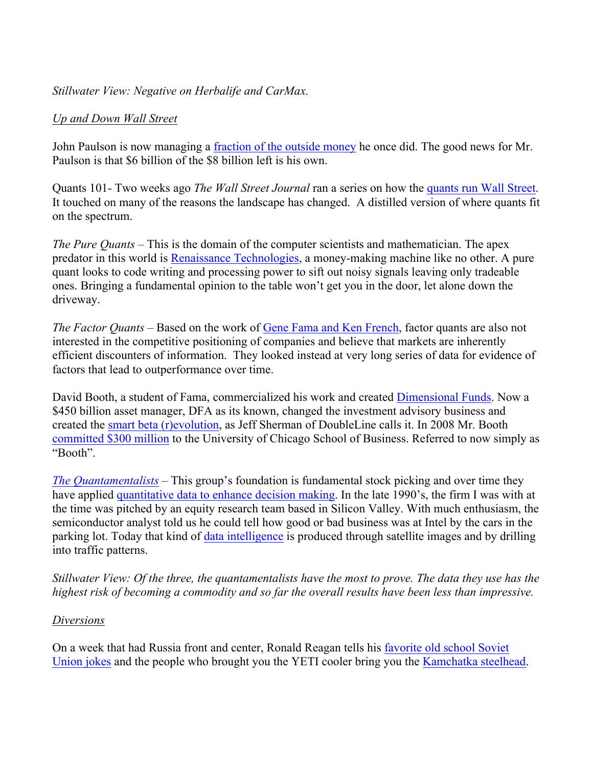## *Stillwater View: Negative on Herbalife and CarMax.*

## *Up and Down Wall Street*

John Paulson is now managing a fraction of the outside money he once did. The good news for Mr. Paulson is that \$6 billion of the \$8 billion left is his own.

Quants 101- Two weeks ago *The Wall Street Journal* ran a series on how the quants run Wall Street. It touched on many of the reasons the landscape has changed. A distilled version of where quants fit on the spectrum.

*The Pure Quants* – This is the domain of the computer scientists and mathematician. The apex predator in this world is Renaissance Technologies, a money-making machine like no other. A pure quant looks to code writing and processing power to sift out noisy signals leaving only tradeable ones. Bringing a fundamental opinion to the table won't get you in the door, let alone down the driveway.

*The Factor Quants* – Based on the work of Gene Fama and Ken French, factor quants are also not interested in the competitive positioning of companies and believe that markets are inherently efficient discounters of information. They looked instead at very long series of data for evidence of factors that lead to outperformance over time.

David Booth, a student of Fama, commercialized his work and created Dimensional Funds. Now a \$450 billion asset manager, DFA as its known, changed the investment advisory business and created the smart beta (r)evolution, as Jeff Sherman of DoubleLine calls it. In 2008 Mr. Booth committed \$300 million to the University of Chicago School of Business. Referred to now simply as "Booth".

*The Quantamentalists* – This group's foundation is fundamental stock picking and over time they have applied quantitative data to enhance decision making. In the late 1990's, the firm I was with at the time was pitched by an equity research team based in Silicon Valley. With much enthusiasm, the semiconductor analyst told us he could tell how good or bad business was at Intel by the cars in the parking lot. Today that kind of data intelligence is produced through satellite images and by drilling into traffic patterns.

*Stillwater View: Of the three, the quantamentalists have the most to prove. The data they use has the highest risk of becoming a commodity and so far the overall results have been less than impressive.* 

#### *Diversions*

On a week that had Russia front and center, Ronald Reagan tells his favorite old school Soviet Union jokes and the people who brought you the YETI cooler bring you the Kamchatka steelhead.